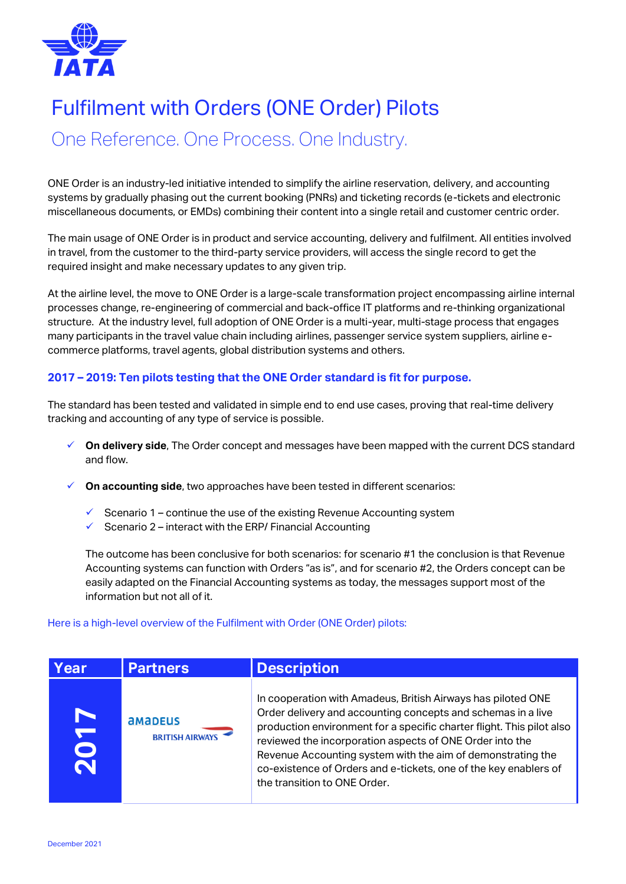

## Fulfilment with Orders (ONE Order) Pilots

One Reference. One Process. One Industry.

ONE Order is an industry-led initiative intended to simplify the airline reservation, delivery, and accounting systems by gradually phasing out the current booking (PNRs) and ticketing records (e-tickets and electronic miscellaneous documents, or EMDs) combining their content into a single retail and customer centric order.

The main usage of ONE Order is in product and service accounting, delivery and fulfilment. All entities involved in travel, from the customer to the third-party service providers, will access the single record to get the required insight and make necessary updates to any given trip.

At the airline level, the move to ONE Order is a large-scale transformation project encompassing airline internal processes change, re-engineering of commercial and back-office IT platforms and re-thinking organizational structure. At the industry level, full adoption of ONE Order is a multi-year, multi-stage process that engages many participants in the travel value chain including airlines, passenger service system suppliers, airline ecommerce platforms, travel agents, global distribution systems and others.

## **2017 – 2019: Ten pilots testing that the ONE Order standard is fit for purpose.**

The standard has been tested and validated in simple end to end use cases, proving that real-time delivery tracking and accounting of any type of service is possible.

- **On delivery side**, The Order concept and messages have been mapped with the current DCS standard and flow.
- **On accounting side**, two approaches have been tested in different scenarios:
	- Scenario 1 continue the use of the existing Revenue Accounting system
	- $\checkmark$  Scenario 2 interact with the ERP/ Financial Accounting

The outcome has been conclusive for both scenarios: for scenario #1 the conclusion is that Revenue Accounting systems can function with Orders "as is", and for scenario #2, the Orders concept can be easily adapted on the Financial Accounting systems as today, the messages support most of the information but not all of it.

## Here is a high-level overview of the Fulfilment with Order (ONE Order) pilots:

| Year | <b>Partners</b>                | <b>Description</b>                                                                                                                                                                                                                                                                                                                                                                                                                   |
|------|--------------------------------|--------------------------------------------------------------------------------------------------------------------------------------------------------------------------------------------------------------------------------------------------------------------------------------------------------------------------------------------------------------------------------------------------------------------------------------|
|      | amapeus<br><b>BRITISH AIRW</b> | In cooperation with Amadeus, British Airways has piloted ONE<br>Order delivery and accounting concepts and schemas in a live<br>production environment for a specific charter flight. This pilot also<br>reviewed the incorporation aspects of ONE Order into the<br>Revenue Accounting system with the aim of demonstrating the<br>co-existence of Orders and e-tickets, one of the key enablers of<br>the transition to ONE Order. |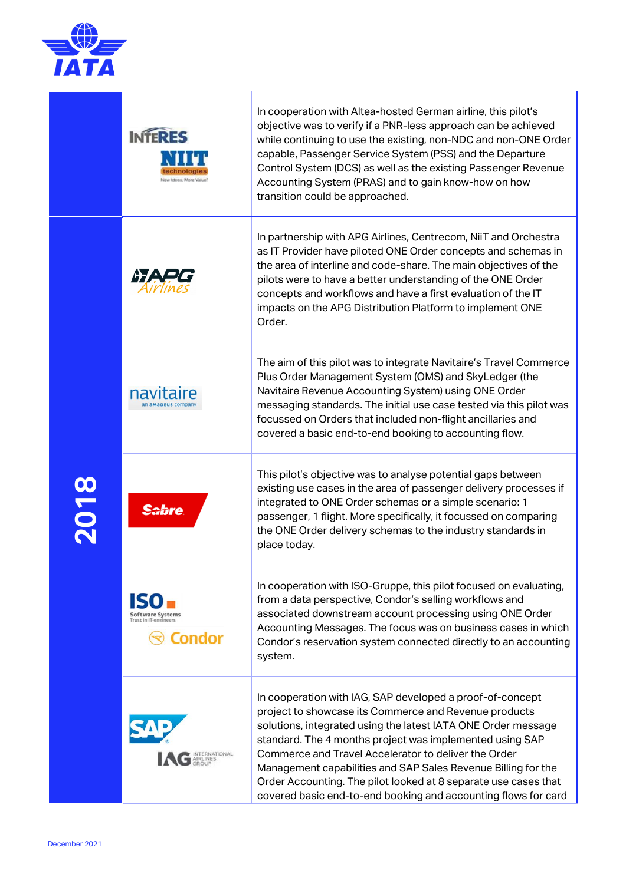

|      | <b>INTERES</b><br>a Irlean, More Valv            | In cooperation with Altea-hosted German airline, this pilot's<br>objective was to verify if a PNR-less approach can be achieved<br>while continuing to use the existing, non-NDC and non-ONE Order<br>capable, Passenger Service System (PSS) and the Departure<br>Control System (DCS) as well as the existing Passenger Revenue<br>Accounting System (PRAS) and to gain know-how on how<br>transition could be approached.                                                                                  |
|------|--------------------------------------------------|---------------------------------------------------------------------------------------------------------------------------------------------------------------------------------------------------------------------------------------------------------------------------------------------------------------------------------------------------------------------------------------------------------------------------------------------------------------------------------------------------------------|
| 2018 |                                                  | In partnership with APG Airlines, Centrecom, NiiT and Orchestra<br>as IT Provider have piloted ONE Order concepts and schemas in<br>the area of interline and code-share. The main objectives of the<br>pilots were to have a better understanding of the ONE Order<br>concepts and workflows and have a first evaluation of the IT<br>impacts on the APG Distribution Platform to implement ONE<br>Order.                                                                                                    |
|      |                                                  | The aim of this pilot was to integrate Navitaire's Travel Commerce<br>Plus Order Management System (OMS) and SkyLedger (the<br>Navitaire Revenue Accounting System) using ONE Order<br>messaging standards. The initial use case tested via this pilot was<br>focussed on Orders that included non-flight ancillaries and<br>covered a basic end-to-end booking to accounting flow.                                                                                                                           |
|      | <b>Sabre</b>                                     | This pilot's objective was to analyse potential gaps between<br>existing use cases in the area of passenger delivery processes if<br>integrated to ONE Order schemas or a simple scenario: 1<br>passenger, 1 flight. More specifically, it focussed on comparing<br>the ONE Order delivery schemas to the industry standards in<br>place today.                                                                                                                                                               |
|      | tware Svstems<br>frust in IT-engineers<br>Condor | In cooperation with ISO-Gruppe, this pilot focused on evaluating,<br>from a data perspective, Condor's selling workflows and<br>associated downstream account processing using ONE Order<br>Accounting Messages. The focus was on business cases in which<br>Condor's reservation system connected directly to an accounting<br>system.                                                                                                                                                                       |
|      | <b>NTERNATIONAL</b>                              | In cooperation with IAG, SAP developed a proof-of-concept<br>project to showcase its Commerce and Revenue products<br>solutions, integrated using the latest IATA ONE Order message<br>standard. The 4 months project was implemented using SAP<br>Commerce and Travel Accelerator to deliver the Order<br>Management capabilities and SAP Sales Revenue Billing for the<br>Order Accounting. The pilot looked at 8 separate use cases that<br>covered basic end-to-end booking and accounting flows for card |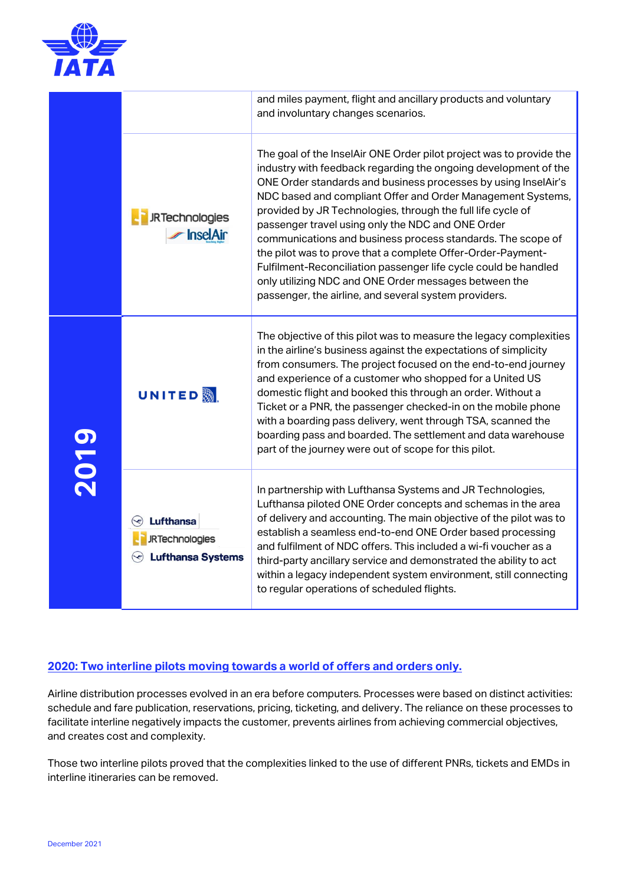

|      |                                                                       | and miles payment, flight and ancillary products and voluntary<br>and involuntary changes scenarios.                                                                                                                                                                                                                                                                                                                                                                                                                                                                                                                                                                                                           |
|------|-----------------------------------------------------------------------|----------------------------------------------------------------------------------------------------------------------------------------------------------------------------------------------------------------------------------------------------------------------------------------------------------------------------------------------------------------------------------------------------------------------------------------------------------------------------------------------------------------------------------------------------------------------------------------------------------------------------------------------------------------------------------------------------------------|
|      | <b>JRTechnologies</b><br><b>InselAir</b>                              | The goal of the InselAir ONE Order pilot project was to provide the<br>industry with feedback regarding the ongoing development of the<br>ONE Order standards and business processes by using InselAir's<br>NDC based and compliant Offer and Order Management Systems,<br>provided by JR Technologies, through the full life cycle of<br>passenger travel using only the NDC and ONE Order<br>communications and business process standards. The scope of<br>the pilot was to prove that a complete Offer-Order-Payment-<br>Fulfilment-Reconciliation passenger life cycle could be handled<br>only utilizing NDC and ONE Order messages between the<br>passenger, the airline, and several system providers. |
| 2019 | <b>UNITED</b> &                                                       | The objective of this pilot was to measure the legacy complexities<br>in the airline's business against the expectations of simplicity<br>from consumers. The project focused on the end-to-end journey<br>and experience of a customer who shopped for a United US<br>domestic flight and booked this through an order. Without a<br>Ticket or a PNR, the passenger checked-in on the mobile phone<br>with a boarding pass delivery, went through TSA, scanned the<br>boarding pass and boarded. The settlement and data warehouse<br>part of the journey were out of scope for this pilot.                                                                                                                   |
|      | <b>Lufthansa</b><br><b>JRTechnologies</b><br><b>Lufthansa Systems</b> | In partnership with Lufthansa Systems and JR Technologies,<br>Lufthansa piloted ONE Order concepts and schemas in the area<br>of delivery and accounting. The main objective of the pilot was to<br>establish a seamless end-to-end ONE Order based processing<br>and fulfilment of NDC offers. This included a wi-fi voucher as a<br>third-party ancillary service and demonstrated the ability to act<br>within a legacy independent system environment, still connecting<br>to regular operations of scheduled flights.                                                                                                                                                                                     |

## **2020: Two interline pilots moving towards a world of offers and orders only.**

Airline distribution processes evolved in an era before computers. Processes were based on distinct activities: schedule and fare publication, reservations, pricing, ticketing, and delivery. The reliance on these processes to facilitate interline negatively impacts the customer, prevents airlines from achieving commercial objectives, and creates cost and complexity.

Those two interline pilots proved that the complexities linked to the use of different PNRs, tickets and EMDs in interline itineraries can be removed.